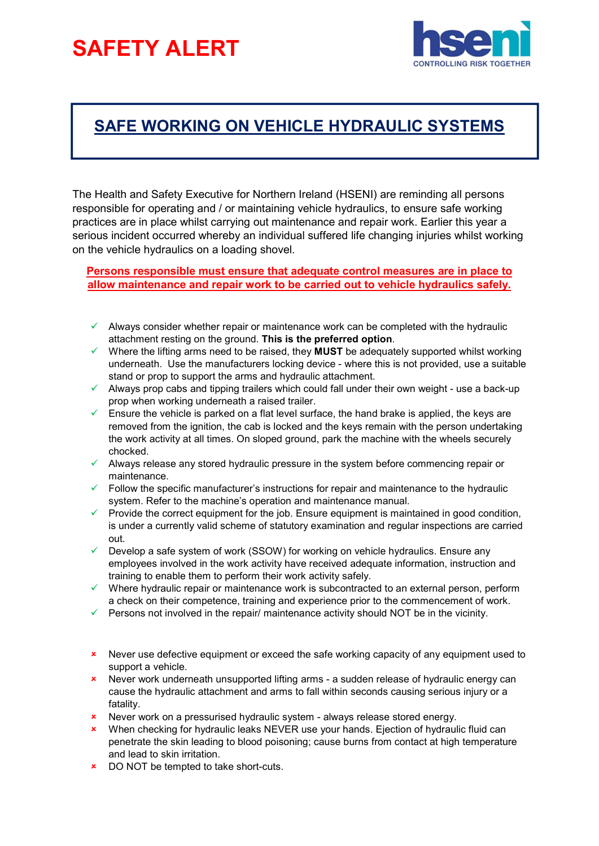## SAFETY ALERT



## SAFE WORKING ON VEHICLE HYDRAULIC SYSTEMS

The Health and Safety Executive for Northern Ireland (HSENI) are reminding all persons responsible for operating and / or maintaining vehicle hydraulics, to ensure safe working practices are in place whilst carrying out maintenance and repair work. Earlier this year a serious incident occurred whereby an individual suffered life changing injuries whilst working on the vehicle hydraulics on a loading shovel.

Persons responsible must ensure that adequate control measures are in place to allow maintenance and repair work to be carried out to vehicle hydraulics safely.

- $\checkmark$  Always consider whether repair or maintenance work can be completed with the hydraulic attachment resting on the ground. This is the preferred option.
- $\checkmark$  Where the lifting arms need to be raised, they MUST be adequately supported whilst working underneath. Use the manufacturers locking device - where this is not provided, use a suitable stand or prop to support the arms and hydraulic attachment.
- $\checkmark$  Always prop cabs and tipping trailers which could fall under their own weight use a back-up prop when working underneath a raised trailer.
- $\checkmark$  Ensure the vehicle is parked on a flat level surface, the hand brake is applied, the keys are removed from the ignition, the cab is locked and the keys remain with the person undertaking the work activity at all times. On sloped ground, park the machine with the wheels securely chocked.
- $\checkmark$  Always release any stored hydraulic pressure in the system before commencing repair or maintenance.
- $\checkmark$  Follow the specific manufacturer's instructions for repair and maintenance to the hydraulic system. Refer to the machine's operation and maintenance manual.
- $\checkmark$  Provide the correct equipment for the job. Ensure equipment is maintained in good condition, is under a currently valid scheme of statutory examination and regular inspections are carried out.
- $\checkmark$  Develop a safe system of work (SSOW) for working on vehicle hydraulics. Ensure any employees involved in the work activity have received adequate information, instruction and training to enable them to perform their work activity safely.
- $\checkmark$  Where hydraulic repair or maintenance work is subcontracted to an external person, perform a check on their competence, training and experience prior to the commencement of work.
- Persons not involved in the repair/ maintenance activity should NOT be in the vicinity.
- \* Never use defective equipment or exceed the safe working capacity of any equipment used to support a vehicle.
- Never work underneath unsupported lifting arms a sudden release of hydraulic energy can cause the hydraulic attachment and arms to fall within seconds causing serious injury or a fatality.
- **x** Never work on a pressurised hydraulic system always release stored energy.
- \* When checking for hydraulic leaks NEVER use your hands. Ejection of hydraulic fluid can penetrate the skin leading to blood poisoning; cause burns from contact at high temperature and lead to skin irritation.
- **EXECUTE:** DO NOT be tempted to take short-cuts.